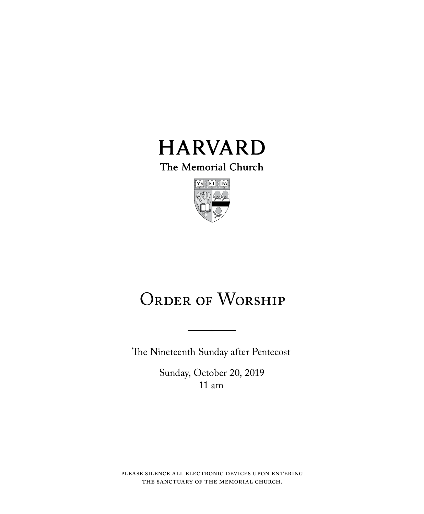

The Memorial Church



# ORDER OF WORSHIP

The Nineteenth Sunday after Pentecost

Sunday, October 20, 2019 11 am

please silence all electronic devices upon entering the sanctuary of the memorial church.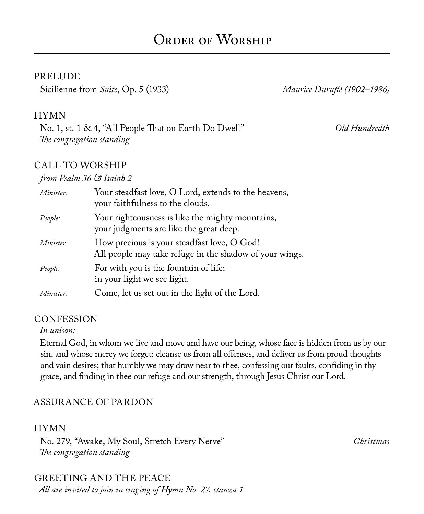#### PRELUDE

Sicilienne from *Suite*, Op. 5 (1933) *Maurice Duruflé (1902–1986)*

#### HYMN

No. 1, st. 1 & 4, "All People That on Earth Do Dwell" *Old Hundredth The congregation standing*

#### CALL TO WORSHIP

#### *from Psalm 36 & Isaiah 2*

| Minister: | Your steadfast love, O Lord, extends to the heavens,<br>your faithfulness to the clouds.               |
|-----------|--------------------------------------------------------------------------------------------------------|
| People:   | Your righteousness is like the mighty mountains,<br>your judgments are like the great deep.            |
| Minister: | How precious is your steadfast love, O God!<br>All people may take refuge in the shadow of your wings. |
| People:   | For with you is the fountain of life;<br>in your light we see light.                                   |
| Minister: | Come, let us set out in the light of the Lord.                                                         |

#### **CONFESSION**

#### *In unison:*

Eternal God, in whom we live and move and have our being, whose face is hidden from us by our sin, and whose mercy we forget: cleanse us from all offenses, and deliver us from proud thoughts and vain desires; that humbly we may draw near to thee, confessing our faults, confiding in thy grace, and finding in thee our refuge and our strength, through Jesus Christ our Lord.

#### ASSURANCE OF PARDON

#### HYMN

No. 279, "Awake, My Soul, Stretch Every Nerve" *Christmas The congregation standing*

#### GREETING AND THE PEACE

*All are invited to join in singing of Hymn No. 27, stanza 1.*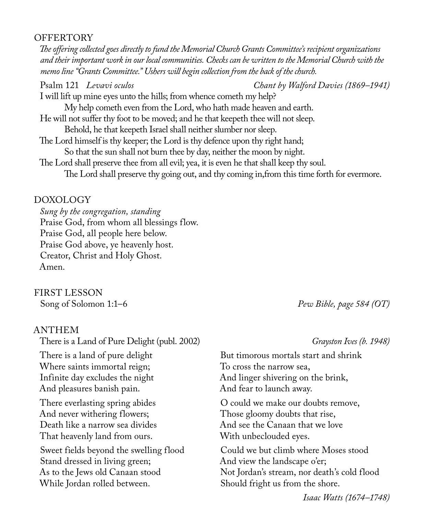#### **OFFERTORY**

*The offering collected goes directly to fund the Memorial Church Grants Committee's recipient organizations and their important work in our local communities. Checks can be written to the Memorial Church with the memo line "Grants Committee." Ushers will begin collection from the back of the church.*

Psalm 121 *Levavi oculos Chant by Walford Davies (1869–1941)* I will lift up mine eyes unto the hills; from whence cometh my help? My help cometh even from the Lord, who hath made heaven and earth. He will not suffer thy foot to be moved; and he that keepeth thee will not sleep. Behold, he that keepeth Israel shall neither slumber nor sleep. The Lord himself is thy keeper; the Lord is thy defence upon thy right hand; So that the sun shall not burn thee by day, neither the moon by night. The Lord shall preserve thee from all evil; yea, it is even he that shall keep thy soul. The Lord shall preserve thy going out, and thy coming in,from this time forth for evermore.

### DOXOLOGY

*Sung by the congregation, standing* Praise God, from whom all blessings flow. Praise God, all people here below. Praise God above, ye heavenly host. Creator, Christ and Holy Ghost. Amen.

### FIRST LESSON

#### ANTHEM

There is a Land of Pure Delight (publ. 2002) *Grayston Ives (b. 1948)* There is a land of pure delight Where saints immortal reign; Infinite day excludes the night And pleasures banish pain. There everlasting spring abides And never withering flowers; Death like a narrow sea divides That heavenly land from ours. Sweet fields beyond the swelling flood Stand dressed in living green; As to the Jews old Canaan stood While Jordan rolled between.

Song of Solomon 1:1–6 *Pew Bible, page 584 (OT)*

But timorous mortals start and shrink To cross the narrow sea, And linger shivering on the brink, And fear to launch away. O could we make our doubts remove, Those gloomy doubts that rise,

And see the Canaan that we love With unbeclouded eyes.

Could we but climb where Moses stood And view the landscape o'er; Not Jordan's stream, nor death's cold flood Should fright us from the shore.

*Isaac Watts (1674–1748)*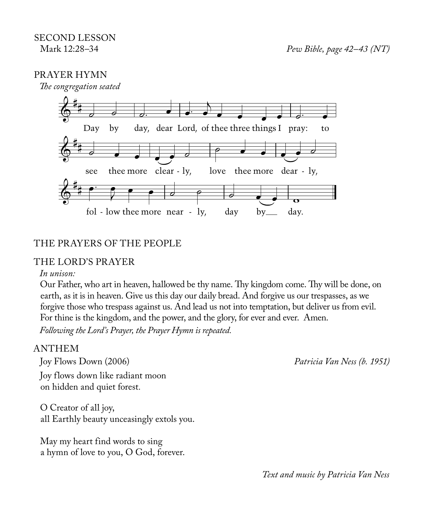#### PRAYER HYMN



#### THE PRAYERS OF THE PEOPLE

#### THE LORD'S PRAYER

#### *In unison:*

Our Father, who art in heaven, hallowed be thy name. Thy kingdom come. Thy will be done, on earth, as it is in heaven. Give us this day our daily bread. And forgive us our trespasses, as we forgive those who trespass against us. And lead us not into temptation, but deliver us from evil. For thine is the kingdom, and the power, and the glory, for ever and ever. Amen. *Following the Lord's Prayer, the Prayer Hymn is repeated.*

#### ANTHEM

Joy Flows Down (2006) *Patricia Van Ness (b. 1951)* Joy flows down like radiant moon on hidden and quiet forest.

O Creator of all joy, all Earthly beauty unceasingly extols you.

May my heart find words to sing a hymn of love to you, O God, forever.

*Text and music by Patricia Van Ness*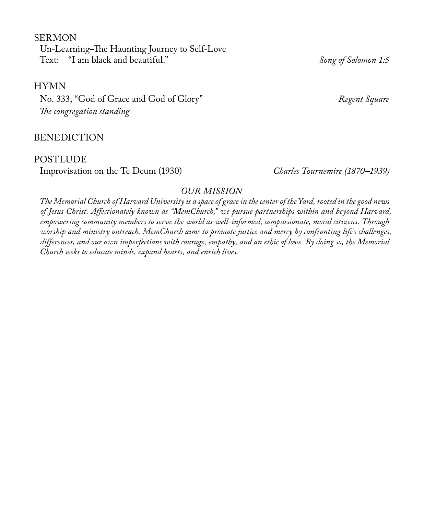SERMON Un-Learning*–*The Haunting Journey to Self-Love Text: "I am black and beautiful." *Song of Solomon 1:5*

HYMN

No. 333, "God of Grace and God of Glory" *Regent Square The congregation standing* 

BENEDICTION

#### POSTLUDE

Improvisation on the Te Deum (1930) *Charles Tournemire (1870–1939)*

#### *OUR MISSION*

*The Memorial Church of Harvard University is a space of grace in the center of the Yard, rooted in the good news of Jesus Christ. Affectionately known as "MemChurch," we pursue partnerships within and beyond Harvard, empowering community members to serve the world as well-informed, compassionate, moral citizens. Through worship and ministry outreach, MemChurch aims to promote justice and mercy by confronting life's challenges, differences, and our own imperfections with courage, empathy, and an ethic of love. By doing so, the Memorial Church seeks to educate minds, expand hearts, and enrich lives.*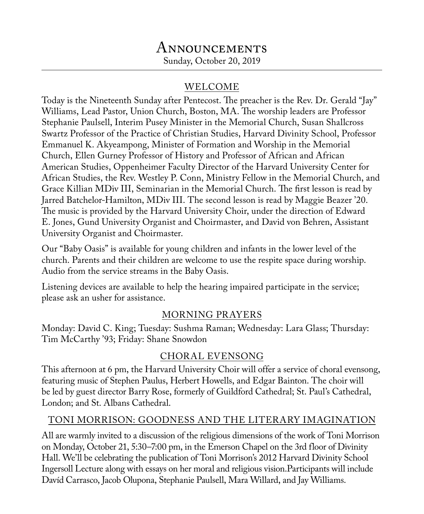# Announcements

Sunday, October 20, 2019

### WELCOME

Today is the Nineteenth Sunday after Pentecost. The preacher is the Rev. Dr. Gerald "Jay" Williams, Lead Pastor, Union Church, Boston, MA. The worship leaders are Professor Stephanie Paulsell, Interim Pusey Minister in the Memorial Church, Susan Shallcross Swartz Professor of the Practice of Christian Studies, Harvard Divinity School, Professor Emmanuel K. Akyeampong, Minister of Formation and Worship in the Memorial Church, Ellen Gurney Professor of History and Professor of African and African American Studies, Oppenheimer Faculty Director of the Harvard University Center for African Studies, the Rev. Westley P. Conn, Ministry Fellow in the Memorial Church, and Grace Killian MDiv III, Seminarian in the Memorial Church. The first lesson is read by Jarred Batchelor-Hamilton, MDiv III. The second lesson is read by Maggie Beazer '20. The music is provided by the Harvard University Choir, under the direction of Edward E. Jones, Gund University Organist and Choirmaster, and David von Behren, Assistant University Organist and Choirmaster.

Our "Baby Oasis" is available for young children and infants in the lower level of the church. Parents and their children are welcome to use the respite space during worship. Audio from the service streams in the Baby Oasis.

Listening devices are available to help the hearing impaired participate in the service; please ask an usher for assistance.

### MORNING PRAYERS

Monday: David C. King; Tuesday: Sushma Raman; Wednesday: Lara Glass; Thursday: Tim McCarthy '93; Friday: Shane Snowdon

### CHORAL EVENSONG

This afternoon at 6 pm, the Harvard University Choir will offer a service of choral evensong, featuring music of Stephen Paulus, Herbert Howells, and Edgar Bainton. The choir will be led by guest director Barry Rose, formerly of Guildford Cathedral; St. Paul's Cathedral, London; and St. Albans Cathedral.

### TONI MORRISON: GOODNESS AND THE LITERARY IMAGINATION

All are warmly invited to a discussion of the religious dimensions of the work of Toni Morrison on Monday, October 21, 5:30–7:00 pm, in the Emerson Chapel on the 3rd floor of Divinity Hall. We'll be celebrating the publication of Toni Morrison's 2012 Harvard Divinity School Ingersoll Lecture along with essays on her moral and religious vision.Participants will include Davíd Carrasco, Jacob Olupona, Stephanie Paulsell, Mara Willard, and Jay Williams.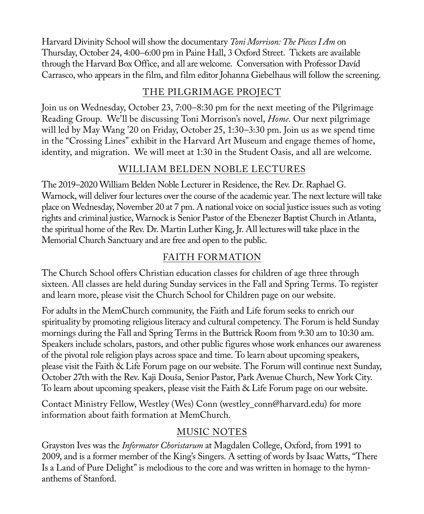Harvard Divinity School will show the documentary *Toni Morrison: The Pieces I Am* on Thursday, October 24, 4:00*–*6:00 pm in Paine Hall, 3 Oxford Street. Tickets are available through the Harvard Box Office, and all are welcome. Conversation with Professor Davíd Carrasco, who appears in the film, and film editor Johanna Giebelhaus will follow the screening.

### THE PILGRIMAGE PROJECT

Join us on Wednesday, October 23, 7:00–8:30 pm for the next meeting of the Pilgrimage Reading Group. We'll be discussing Toni Morrison's novel, *Home*. Our next pilgrimage will led by May Wang '20 on Friday, October 25, 1:30–3:30 pm. Join us as we spend time in the "Crossing Lines" exhibit in the Harvard Art Museum and engage themes of home, identity, and migration. We will meet at 1:30 in the Student Oasis, and all are welcome.

### WILLIAM BELDEN NOBLE LECTURES

The 2019–2020 William Belden Noble Lecturer in Residence, the Rev. Dr. Raphael G. Warnock, will deliver four lectures over the course of the academic year. The next lecture will take place on Wednesday, November 20 at 7 pm. A national voice on social justice issues such as voting rights and criminal justice, Warnock is Senior Pastor of the Ebenezer Baptist Church in Atlanta, the spiritual home of the Rev. Dr. Martin Luther King, Jr. All lectures will take place in the Memorial Church Sanctuary and are free and open to the public.

### FAITH FORMATION

The Church School offers Christian education classes for children of age three through sixteen. All classes are held during Sunday services in the Fall and Spring Terms. To register and learn more, please visit the Church School for Children page on our website.

For adults in the MemChurch community, the Faith and Life forum seeks to enrich our spirituality by promoting religious literacy and cultural competency. The Forum is held Sunday mornings during the Fall and Spring Terms in the Buttrick Room from 9:30 am to 10:30 am. Speakers include scholars, pastors, and other public figures whose work enhances our awareness of the pivotal role religion plays across space and time. To learn about upcoming speakers, please visit the Faith & Life Forum page on our website. The Forum will continue next Sunday, October 27th with the Rev. Kaji Douša, Senior Pastor, Park Avenue Church, New York City. To learn about upcoming speakers, please visit the Faith & Life Forum page on our website.

Contact Ministry Fellow, Westley (Wes) Conn (westley\_conn@harvard.edu) for more information about faith formation at MemChurch.

### MUSIC NOTES

Grayston Ives was the *Informator Choristarum* at Magdalen College, Oxford, from 1991 to 2009, and is a former member of the King's Singers. A setting of words by Isaac Watts, "There Is a Land of Pure Delight" is melodious to the core and was written in homage to the hymnanthems of Stanford.